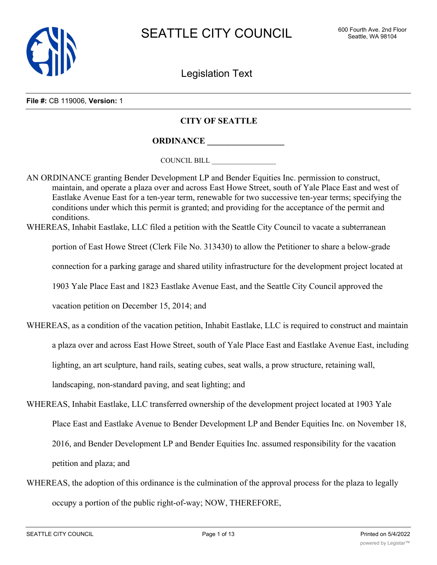

Legislation Text

**File #:** CB 119006, **Version:** 1

# **CITY OF SEATTLE**

**ORDINANCE \_\_\_\_\_\_\_\_\_\_\_\_\_\_\_\_\_\_**

COUNCIL BILL \_\_\_\_\_\_\_\_\_\_\_\_\_\_\_\_\_\_

AN ORDINANCE granting Bender Development LP and Bender Equities Inc. permission to construct, maintain, and operate a plaza over and across East Howe Street, south of Yale Place East and west of Eastlake Avenue East for a ten-year term, renewable for two successive ten-year terms; specifying the conditions under which this permit is granted; and providing for the acceptance of the permit and conditions.

WHEREAS, Inhabit Eastlake, LLC filed a petition with the Seattle City Council to vacate a subterranean

portion of East Howe Street (Clerk File No. 313430) to allow the Petitioner to share a below-grade

connection for a parking garage and shared utility infrastructure for the development project located at

1903 Yale Place East and 1823 Eastlake Avenue East, and the Seattle City Council approved the

vacation petition on December 15, 2014; and

- WHEREAS, as a condition of the vacation petition, Inhabit Eastlake, LLC is required to construct and maintain a plaza over and across East Howe Street, south of Yale Place East and Eastlake Avenue East, including lighting, an art sculpture, hand rails, seating cubes, seat walls, a prow structure, retaining wall, landscaping, non-standard paving, and seat lighting; and
- WHEREAS, Inhabit Eastlake, LLC transferred ownership of the development project located at 1903 Yale Place East and Eastlake Avenue to Bender Development LP and Bender Equities Inc. on November 18, 2016, and Bender Development LP and Bender Equities Inc. assumed responsibility for the vacation petition and plaza; and
- WHEREAS, the adoption of this ordinance is the culmination of the approval process for the plaza to legally occupy a portion of the public right-of-way; NOW, THEREFORE,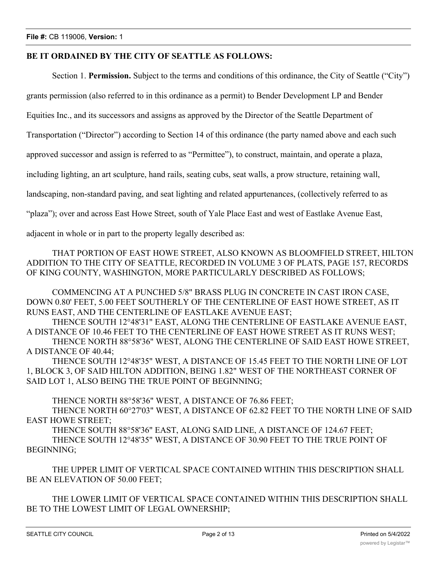# **BE IT ORDAINED BY THE CITY OF SEATTLE AS FOLLOWS:**

Section 1. **Permission.** Subject to the terms and conditions of this ordinance, the City of Seattle ("City")

grants permission (also referred to in this ordinance as a permit) to Bender Development LP and Bender

Equities Inc., and its successors and assigns as approved by the Director of the Seattle Department of

Transportation ("Director") according to Section 14 of this ordinance (the party named above and each such

approved successor and assign is referred to as "Permittee"), to construct, maintain, and operate a plaza,

including lighting, an art sculpture, hand rails, seating cubs, seat walls, a prow structure, retaining wall,

landscaping, non-standard paving, and seat lighting and related appurtenances, (collectively referred to as

"plaza"); over and across East Howe Street, south of Yale Place East and west of Eastlake Avenue East,

adjacent in whole or in part to the property legally described as:

THAT PORTION OF EAST HOWE STREET, ALSO KNOWN AS BLOOMFIELD STREET, HILTON ADDITION TO THE CITY OF SEATTLE, RECORDED IN VOLUME 3 OF PLATS, PAGE 157, RECORDS OF KING COUNTY, WASHINGTON, MORE PARTICULARLY DESCRIBED AS FOLLOWS;

COMMENCING AT A PUNCHED 5/8" BRASS PLUG IN CONCRETE IN CAST IRON CASE, DOWN 0.80' FEET, 5.00 FEET SOUTHERLY OF THE CENTERLINE OF EAST HOWE STREET, AS IT RUNS EAST, AND THE CENTERLINE OF EASTLAKE AVENUE EAST;

THENCE SOUTH 12°48'31" EAST, ALONG THE CENTERLINE OF EASTLAKE AVENUE EAST, A DISTANCE OF 10.46 FEET TO THE CENTERLINE OF EAST HOWE STREET AS IT RUNS WEST; THENCE NORTH 88°58'36" WEST, ALONG THE CENTERLINE OF SAID EAST HOWE STREET, A DISTANCE OF 40.44;

THENCE SOUTH 12°48'35" WEST, A DISTANCE OF 15.45 FEET TO THE NORTH LINE OF LOT 1, BLOCK 3, OF SAID HILTON ADDITION, BEING 1.82" WEST OF THE NORTHEAST CORNER OF SAID LOT 1, ALSO BEING THE TRUE POINT OF BEGINNING;

THENCE NORTH 88°58'36" WEST, A DISTANCE OF 76.86 FEET;

THENCE NORTH 60°27'03" WEST, A DISTANCE OF 62.82 FEET TO THE NORTH LINE OF SAID EAST HOWE STREET;

THENCE SOUTH 88°58'36" EAST, ALONG SAID LINE, A DISTANCE OF 124.67 FEET;

THENCE SOUTH 12°48'35" WEST, A DISTANCE OF 30.90 FEET TO THE TRUE POINT OF BEGINNING;

THE UPPER LIMIT OF VERTICAL SPACE CONTAINED WITHIN THIS DESCRIPTION SHALL BE AN ELEVATION OF 50.00 FEET;

THE LOWER LIMIT OF VERTICAL SPACE CONTAINED WITHIN THIS DESCRIPTION SHALL BE TO THE LOWEST LIMIT OF LEGAL OWNERSHIP;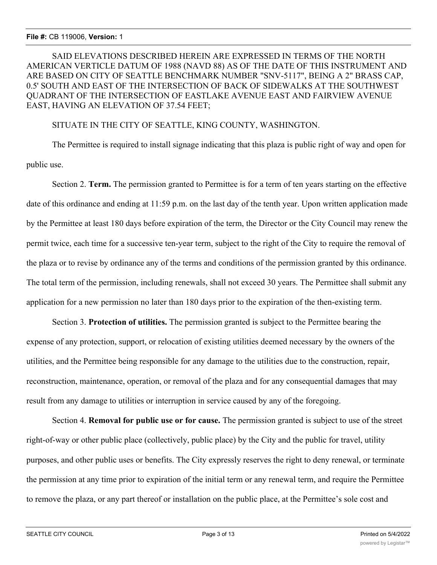SAID ELEVATIONS DESCRIBED HEREIN ARE EXPRESSED IN TERMS OF THE NORTH AMERICAN VERTICLE DATUM OF 1988 (NAVD 88) AS OF THE DATE OF THIS INSTRUMENT AND ARE BASED ON CITY OF SEATTLE BENCHMARK NUMBER "SNV-5117", BEING A 2" BRASS CAP, 0.5' SOUTH AND EAST OF THE INTERSECTION OF BACK OF SIDEWALKS AT THE SOUTHWEST QUADRANT OF THE INTERSECTION OF EASTLAKE AVENUE EAST AND FAIRVIEW AVENUE EAST, HAVING AN ELEVATION OF 37.54 FEET;

## SITUATE IN THE CITY OF SEATTLE, KING COUNTY, WASHINGTON.

The Permittee is required to install signage indicating that this plaza is public right of way and open for public use.

Section 2. **Term.** The permission granted to Permittee is for a term of ten years starting on the effective date of this ordinance and ending at 11:59 p.m. on the last day of the tenth year. Upon written application made by the Permittee at least 180 days before expiration of the term, the Director or the City Council may renew the permit twice, each time for a successive ten-year term, subject to the right of the City to require the removal of the plaza or to revise by ordinance any of the terms and conditions of the permission granted by this ordinance. The total term of the permission, including renewals, shall not exceed 30 years. The Permittee shall submit any application for a new permission no later than 180 days prior to the expiration of the then-existing term.

Section 3. **Protection of utilities.** The permission granted is subject to the Permittee bearing the expense of any protection, support, or relocation of existing utilities deemed necessary by the owners of the utilities, and the Permittee being responsible for any damage to the utilities due to the construction, repair, reconstruction, maintenance, operation, or removal of the plaza and for any consequential damages that may result from any damage to utilities or interruption in service caused by any of the foregoing.

Section 4. **Removal for public use or for cause.** The permission granted is subject to use of the street right-of-way or other public place (collectively, public place) by the City and the public for travel, utility purposes, and other public uses or benefits. The City expressly reserves the right to deny renewal, or terminate the permission at any time prior to expiration of the initial term or any renewal term, and require the Permittee to remove the plaza, or any part thereof or installation on the public place, at the Permittee's sole cost and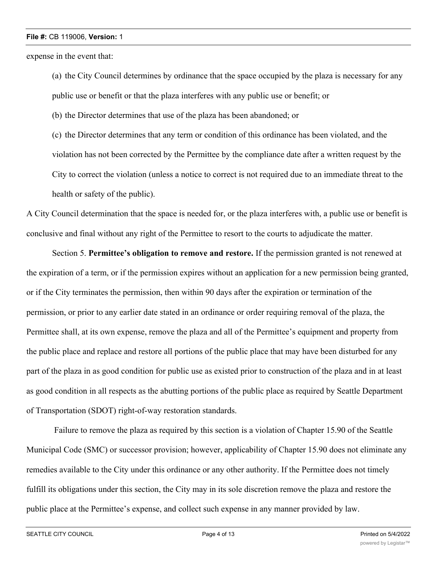expense in the event that:

(a) the City Council determines by ordinance that the space occupied by the plaza is necessary for any public use or benefit or that the plaza interferes with any public use or benefit; or

(b) the Director determines that use of the plaza has been abandoned; or

(c) the Director determines that any term or condition of this ordinance has been violated, and the violation has not been corrected by the Permittee by the compliance date after a written request by the City to correct the violation (unless a notice to correct is not required due to an immediate threat to the health or safety of the public).

A City Council determination that the space is needed for, or the plaza interferes with, a public use or benefit is conclusive and final without any right of the Permittee to resort to the courts to adjudicate the matter.

Section 5. **Permittee's obligation to remove and restore.** If the permission granted is not renewed at the expiration of a term, or if the permission expires without an application for a new permission being granted, or if the City terminates the permission, then within 90 days after the expiration or termination of the permission, or prior to any earlier date stated in an ordinance or order requiring removal of the plaza, the Permittee shall, at its own expense, remove the plaza and all of the Permittee's equipment and property from the public place and replace and restore all portions of the public place that may have been disturbed for any part of the plaza in as good condition for public use as existed prior to construction of the plaza and in at least as good condition in all respects as the abutting portions of the public place as required by Seattle Department of Transportation (SDOT) right-of-way restoration standards.

 Failure to remove the plaza as required by this section is a violation of Chapter 15.90 of the Seattle Municipal Code (SMC) or successor provision; however, applicability of Chapter 15.90 does not eliminate any remedies available to the City under this ordinance or any other authority. If the Permittee does not timely fulfill its obligations under this section, the City may in its sole discretion remove the plaza and restore the public place at the Permittee's expense, and collect such expense in any manner provided by law.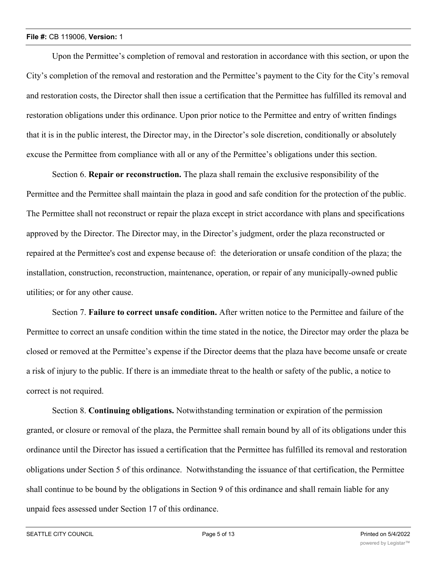Upon the Permittee's completion of removal and restoration in accordance with this section, or upon the City's completion of the removal and restoration and the Permittee's payment to the City for the City's removal and restoration costs, the Director shall then issue a certification that the Permittee has fulfilled its removal and restoration obligations under this ordinance. Upon prior notice to the Permittee and entry of written findings that it is in the public interest, the Director may, in the Director's sole discretion, conditionally or absolutely excuse the Permittee from compliance with all or any of the Permittee's obligations under this section.

Section 6. **Repair or reconstruction.** The plaza shall remain the exclusive responsibility of the Permittee and the Permittee shall maintain the plaza in good and safe condition for the protection of the public. The Permittee shall not reconstruct or repair the plaza except in strict accordance with plans and specifications approved by the Director. The Director may, in the Director's judgment, order the plaza reconstructed or repaired at the Permittee's cost and expense because of: the deterioration or unsafe condition of the plaza; the installation, construction, reconstruction, maintenance, operation, or repair of any municipally-owned public utilities; or for any other cause.

Section 7. **Failure to correct unsafe condition.** After written notice to the Permittee and failure of the Permittee to correct an unsafe condition within the time stated in the notice, the Director may order the plaza be closed or removed at the Permittee's expense if the Director deems that the plaza have become unsafe or create a risk of injury to the public. If there is an immediate threat to the health or safety of the public, a notice to correct is not required.

Section 8. **Continuing obligations.** Notwithstanding termination or expiration of the permission granted, or closure or removal of the plaza, the Permittee shall remain bound by all of its obligations under this ordinance until the Director has issued a certification that the Permittee has fulfilled its removal and restoration obligations under Section 5 of this ordinance. Notwithstanding the issuance of that certification, the Permittee shall continue to be bound by the obligations in Section 9 of this ordinance and shall remain liable for any unpaid fees assessed under Section 17 of this ordinance.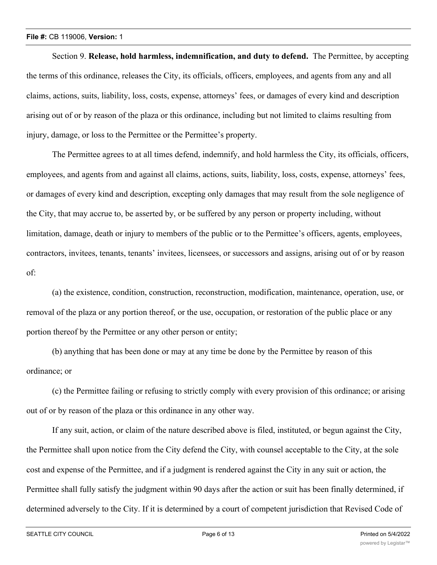Section 9. **Release, hold harmless, indemnification, and duty to defend.** The Permittee, by accepting the terms of this ordinance, releases the City, its officials, officers, employees, and agents from any and all claims, actions, suits, liability, loss, costs, expense, attorneys' fees, or damages of every kind and description arising out of or by reason of the plaza or this ordinance, including but not limited to claims resulting from injury, damage, or loss to the Permittee or the Permittee's property.

The Permittee agrees to at all times defend, indemnify, and hold harmless the City, its officials, officers, employees, and agents from and against all claims, actions, suits, liability, loss, costs, expense, attorneys' fees, or damages of every kind and description, excepting only damages that may result from the sole negligence of the City, that may accrue to, be asserted by, or be suffered by any person or property including, without limitation, damage, death or injury to members of the public or to the Permittee's officers, agents, employees, contractors, invitees, tenants, tenants' invitees, licensees, or successors and assigns, arising out of or by reason of:

(a) the existence, condition, construction, reconstruction, modification, maintenance, operation, use, or removal of the plaza or any portion thereof, or the use, occupation, or restoration of the public place or any portion thereof by the Permittee or any other person or entity;

(b) anything that has been done or may at any time be done by the Permittee by reason of this ordinance; or

(c) the Permittee failing or refusing to strictly comply with every provision of this ordinance; or arising out of or by reason of the plaza or this ordinance in any other way.

If any suit, action, or claim of the nature described above is filed, instituted, or begun against the City, the Permittee shall upon notice from the City defend the City, with counsel acceptable to the City, at the sole cost and expense of the Permittee, and if a judgment is rendered against the City in any suit or action, the Permittee shall fully satisfy the judgment within 90 days after the action or suit has been finally determined, if determined adversely to the City. If it is determined by a court of competent jurisdiction that Revised Code of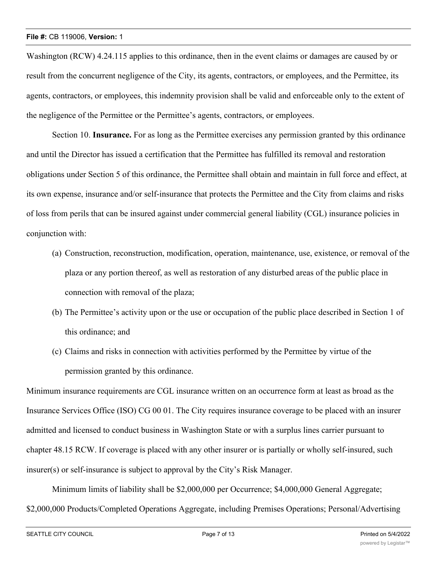Washington (RCW) 4.24.115 applies to this ordinance, then in the event claims or damages are caused by or result from the concurrent negligence of the City, its agents, contractors, or employees, and the Permittee, its agents, contractors, or employees, this indemnity provision shall be valid and enforceable only to the extent of the negligence of the Permittee or the Permittee's agents, contractors, or employees.

Section 10. **Insurance.** For as long as the Permittee exercises any permission granted by this ordinance and until the Director has issued a certification that the Permittee has fulfilled its removal and restoration obligations under Section 5 of this ordinance, the Permittee shall obtain and maintain in full force and effect, at its own expense, insurance and/or self-insurance that protects the Permittee and the City from claims and risks of loss from perils that can be insured against under commercial general liability (CGL) insurance policies in conjunction with:

- (a) Construction, reconstruction, modification, operation, maintenance, use, existence, or removal of the plaza or any portion thereof, as well as restoration of any disturbed areas of the public place in connection with removal of the plaza;
- (b) The Permittee's activity upon or the use or occupation of the public place described in Section 1 of this ordinance; and
- (c) Claims and risks in connection with activities performed by the Permittee by virtue of the permission granted by this ordinance.

Minimum insurance requirements are CGL insurance written on an occurrence form at least as broad as the Insurance Services Office (ISO) CG 00 01. The City requires insurance coverage to be placed with an insurer admitted and licensed to conduct business in Washington State or with a surplus lines carrier pursuant to chapter 48.15 RCW. If coverage is placed with any other insurer or is partially or wholly self-insured, such insurer(s) or self-insurance is subject to approval by the City's Risk Manager.

Minimum limits of liability shall be \$2,000,000 per Occurrence; \$4,000,000 General Aggregate; \$2,000,000 Products/Completed Operations Aggregate, including Premises Operations; Personal/Advertising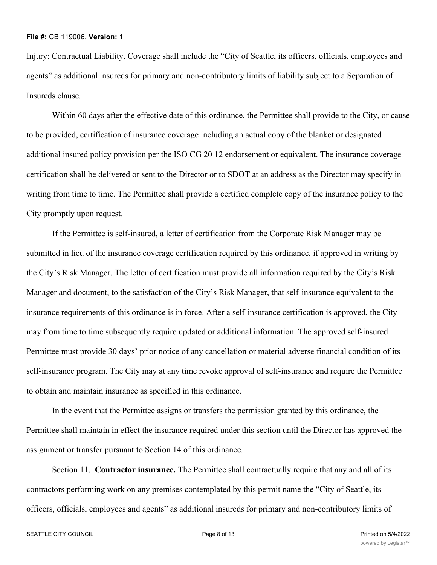Injury; Contractual Liability. Coverage shall include the "City of Seattle, its officers, officials, employees and agents" as additional insureds for primary and non-contributory limits of liability subject to a Separation of Insureds clause.

Within 60 days after the effective date of this ordinance, the Permittee shall provide to the City, or cause to be provided, certification of insurance coverage including an actual copy of the blanket or designated additional insured policy provision per the ISO CG 20 12 endorsement or equivalent. The insurance coverage certification shall be delivered or sent to the Director or to SDOT at an address as the Director may specify in writing from time to time. The Permittee shall provide a certified complete copy of the insurance policy to the City promptly upon request.

If the Permittee is self-insured, a letter of certification from the Corporate Risk Manager may be submitted in lieu of the insurance coverage certification required by this ordinance, if approved in writing by the City's Risk Manager. The letter of certification must provide all information required by the City's Risk Manager and document, to the satisfaction of the City's Risk Manager, that self-insurance equivalent to the insurance requirements of this ordinance is in force. After a self-insurance certification is approved, the City may from time to time subsequently require updated or additional information. The approved self-insured Permittee must provide 30 days' prior notice of any cancellation or material adverse financial condition of its self-insurance program. The City may at any time revoke approval of self-insurance and require the Permittee to obtain and maintain insurance as specified in this ordinance.

In the event that the Permittee assigns or transfers the permission granted by this ordinance, the Permittee shall maintain in effect the insurance required under this section until the Director has approved the assignment or transfer pursuant to Section 14 of this ordinance.

Section 11. **Contractor insurance.** The Permittee shall contractually require that any and all of its contractors performing work on any premises contemplated by this permit name the "City of Seattle, its officers, officials, employees and agents" as additional insureds for primary and non-contributory limits of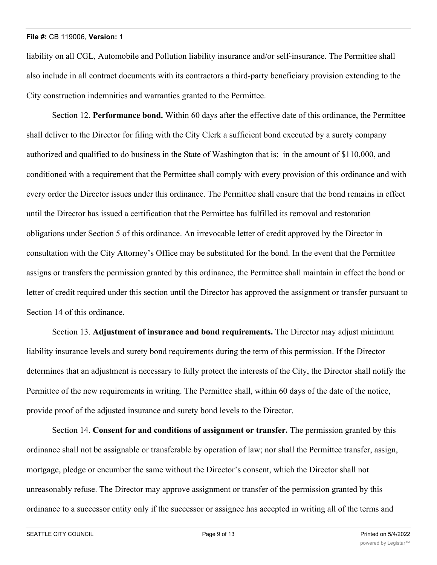liability on all CGL, Automobile and Pollution liability insurance and/or self-insurance. The Permittee shall also include in all contract documents with its contractors a third-party beneficiary provision extending to the City construction indemnities and warranties granted to the Permittee.

Section 12. **Performance bond.** Within 60 days after the effective date of this ordinance, the Permittee shall deliver to the Director for filing with the City Clerk a sufficient bond executed by a surety company authorized and qualified to do business in the State of Washington that is: in the amount of \$110,000, and conditioned with a requirement that the Permittee shall comply with every provision of this ordinance and with every order the Director issues under this ordinance. The Permittee shall ensure that the bond remains in effect until the Director has issued a certification that the Permittee has fulfilled its removal and restoration obligations under Section 5 of this ordinance. An irrevocable letter of credit approved by the Director in consultation with the City Attorney's Office may be substituted for the bond. In the event that the Permittee assigns or transfers the permission granted by this ordinance, the Permittee shall maintain in effect the bond or letter of credit required under this section until the Director has approved the assignment or transfer pursuant to Section 14 of this ordinance.

Section 13. **Adjustment of insurance and bond requirements.** The Director may adjust minimum liability insurance levels and surety bond requirements during the term of this permission. If the Director determines that an adjustment is necessary to fully protect the interests of the City, the Director shall notify the Permittee of the new requirements in writing. The Permittee shall, within 60 days of the date of the notice, provide proof of the adjusted insurance and surety bond levels to the Director.

Section 14. **Consent for and conditions of assignment or transfer.** The permission granted by this ordinance shall not be assignable or transferable by operation of law; nor shall the Permittee transfer, assign, mortgage, pledge or encumber the same without the Director's consent, which the Director shall not unreasonably refuse. The Director may approve assignment or transfer of the permission granted by this ordinance to a successor entity only if the successor or assignee has accepted in writing all of the terms and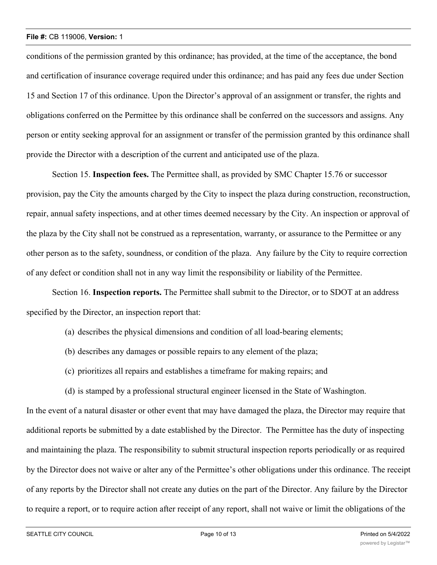conditions of the permission granted by this ordinance; has provided, at the time of the acceptance, the bond and certification of insurance coverage required under this ordinance; and has paid any fees due under Section 15 and Section 17 of this ordinance. Upon the Director's approval of an assignment or transfer, the rights and obligations conferred on the Permittee by this ordinance shall be conferred on the successors and assigns. Any person or entity seeking approval for an assignment or transfer of the permission granted by this ordinance shall provide the Director with a description of the current and anticipated use of the plaza.

Section 15. **Inspection fees.** The Permittee shall, as provided by SMC Chapter 15.76 or successor provision, pay the City the amounts charged by the City to inspect the plaza during construction, reconstruction, repair, annual safety inspections, and at other times deemed necessary by the City. An inspection or approval of the plaza by the City shall not be construed as a representation, warranty, or assurance to the Permittee or any other person as to the safety, soundness, or condition of the plaza. Any failure by the City to require correction of any defect or condition shall not in any way limit the responsibility or liability of the Permittee.

Section 16. **Inspection reports.** The Permittee shall submit to the Director, or to SDOT at an address specified by the Director, an inspection report that:

- (a) describes the physical dimensions and condition of all load-bearing elements;
- (b) describes any damages or possible repairs to any element of the plaza;
- (c) prioritizes all repairs and establishes a timeframe for making repairs; and
- (d) is stamped by a professional structural engineer licensed in the State of Washington.

In the event of a natural disaster or other event that may have damaged the plaza, the Director may require that additional reports be submitted by a date established by the Director. The Permittee has the duty of inspecting and maintaining the plaza. The responsibility to submit structural inspection reports periodically or as required by the Director does not waive or alter any of the Permittee's other obligations under this ordinance. The receipt of any reports by the Director shall not create any duties on the part of the Director. Any failure by the Director to require a report, or to require action after receipt of any report, shall not waive or limit the obligations of the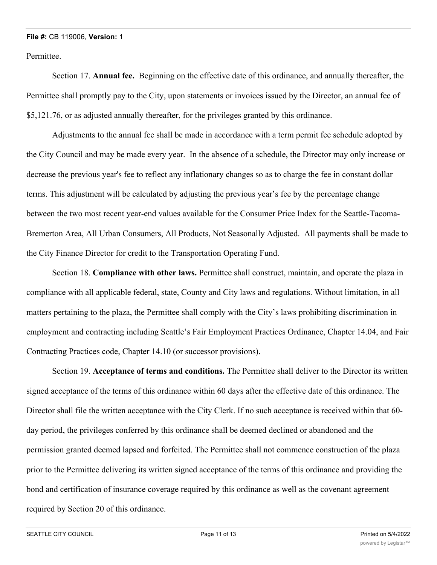Permittee.

Section 17. **Annual fee.** Beginning on the effective date of this ordinance, and annually thereafter, the Permittee shall promptly pay to the City, upon statements or invoices issued by the Director, an annual fee of \$5,121.76, or as adjusted annually thereafter, for the privileges granted by this ordinance.

Adjustments to the annual fee shall be made in accordance with a term permit fee schedule adopted by the City Council and may be made every year. In the absence of a schedule, the Director may only increase or decrease the previous year's fee to reflect any inflationary changes so as to charge the fee in constant dollar terms. This adjustment will be calculated by adjusting the previous year's fee by the percentage change between the two most recent year-end values available for the Consumer Price Index for the Seattle-Tacoma-Bremerton Area, All Urban Consumers, All Products, Not Seasonally Adjusted. All payments shall be made to the City Finance Director for credit to the Transportation Operating Fund.

Section 18. **Compliance with other laws.** Permittee shall construct, maintain, and operate the plaza in compliance with all applicable federal, state, County and City laws and regulations. Without limitation, in all matters pertaining to the plaza, the Permittee shall comply with the City's laws prohibiting discrimination in employment and contracting including Seattle's Fair Employment Practices Ordinance, Chapter 14.04, and Fair Contracting Practices code, Chapter 14.10 (or successor provisions).

Section 19. **Acceptance of terms and conditions.** The Permittee shall deliver to the Director its written signed acceptance of the terms of this ordinance within 60 days after the effective date of this ordinance. The Director shall file the written acceptance with the City Clerk. If no such acceptance is received within that 60 day period, the privileges conferred by this ordinance shall be deemed declined or abandoned and the permission granted deemed lapsed and forfeited. The Permittee shall not commence construction of the plaza prior to the Permittee delivering its written signed acceptance of the terms of this ordinance and providing the bond and certification of insurance coverage required by this ordinance as well as the covenant agreement required by Section 20 of this ordinance.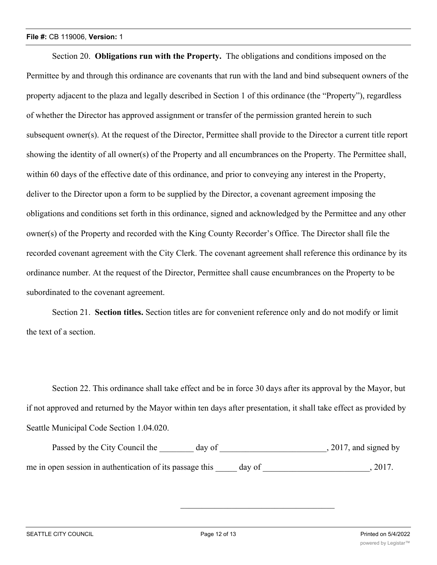Section 20. **Obligations run with the Property.** The obligations and conditions imposed on the Permittee by and through this ordinance are covenants that run with the land and bind subsequent owners of the property adjacent to the plaza and legally described in Section 1 of this ordinance (the "Property"), regardless of whether the Director has approved assignment or transfer of the permission granted herein to such subsequent owner(s). At the request of the Director, Permittee shall provide to the Director a current title report showing the identity of all owner(s) of the Property and all encumbrances on the Property. The Permittee shall, within 60 days of the effective date of this ordinance, and prior to conveying any interest in the Property, deliver to the Director upon a form to be supplied by the Director, a covenant agreement imposing the obligations and conditions set forth in this ordinance, signed and acknowledged by the Permittee and any other owner(s) of the Property and recorded with the King County Recorder's Office. The Director shall file the recorded covenant agreement with the City Clerk. The covenant agreement shall reference this ordinance by its ordinance number. At the request of the Director, Permittee shall cause encumbrances on the Property to be subordinated to the covenant agreement.

Section 21. **Section titles.** Section titles are for convenient reference only and do not modify or limit the text of a section.

Section 22. This ordinance shall take effect and be in force 30 days after its approval by the Mayor, but if not approved and returned by the Mayor within ten days after presentation, it shall take effect as provided by Seattle Municipal Code Section 1.04.020.

| Passed by the City Council the                           | day of |        | , 2017, and signed by |
|----------------------------------------------------------|--------|--------|-----------------------|
| me in open session in authentication of its passage this |        | day of | 2017.                 |